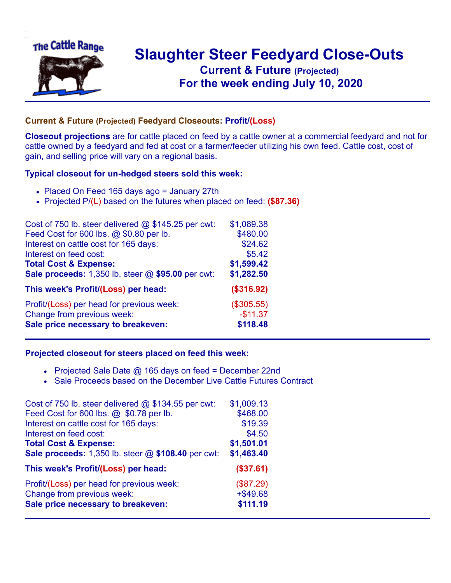

## **Slaughter Steer Feedyard Close-Outs Current & Future (Projected)** .**For the week ending July 10, 2020**

## **Current & Future (Projected) Feedyard Closeouts: Profit/(Loss)**

**Closeout projections** are for cattle placed on feed by a cattle owner at a commercial feedyard and not for cattle owned by a feedyard and fed at cost or a farmer/feeder utilizing his own feed. Cattle cost, cost of gain, and selling price will vary on a regional basis.

## **Typical closeout for un-hedged steers sold this week:**

- Placed On Feed 165 days ago = January 27th
- Projected P/(L) based on the futures when placed on feed: **(\$87.36)**

| Cost of 750 lb. steer delivered $@$ \$145.25 per cwt: | \$1,089.38 |
|-------------------------------------------------------|------------|
| Feed Cost for 600 lbs. @ \$0.80 per lb.               | \$480.00   |
| Interest on cattle cost for 165 days:                 | \$24.62    |
| Interest on feed cost:                                | \$5.42     |
| <b>Total Cost &amp; Expense:</b>                      | \$1,599.42 |
| Sale proceeds: 1,350 lb. steer @ \$95.00 per cwt:     | \$1,282.50 |
| This week's Profit/(Loss) per head:                   | (\$316.92) |
| Profit/(Loss) per head for previous week:             | (\$305.55) |
| Change from previous week:                            | $-$11.37$  |
| Sale price necessary to breakeven:                    | \$118.48   |

## **Projected closeout for steers placed on feed this week:**

- Projected Sale Date  $@$  165 days on feed = December 22nd
- Sale Proceeds based on the December Live Cattle Futures Contract

| Cost of 750 lb. steer delivered $@$ \$134.55 per cwt: | \$1,009.13  |
|-------------------------------------------------------|-------------|
| Feed Cost for 600 lbs. @ \$0.78 per lb.               | \$468.00    |
| Interest on cattle cost for 165 days:                 | \$19.39     |
| Interest on feed cost:                                | \$4.50      |
| <b>Total Cost &amp; Expense:</b>                      | \$1,501.01  |
| Sale proceeds: 1,350 lb. steer @ \$108.40 per cwt:    | \$1,463.40  |
| This week's Profit/(Loss) per head:                   | (\$37.61)   |
| Profit/(Loss) per head for previous week:             | (\$87.29)   |
| Change from previous week:                            | $+$ \$49.68 |
| Sale price necessary to breakeven:                    | \$111.19    |